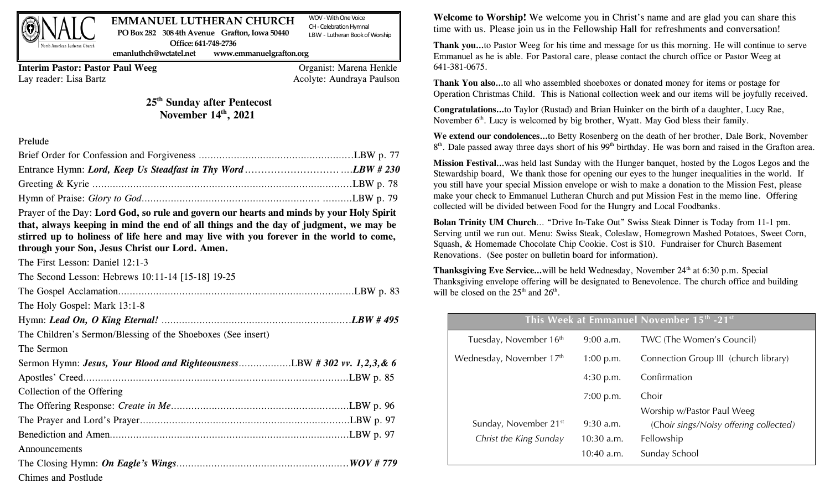

#### WOV -With One Voice CH -Celebration Hymnal LBW - Lutheran Book of Worship **EMMANUEL LUTHERAN CHURCH PO Box 282 308 4th Avenue Grafton, Iowa 50440 Office: 641-748-2736**

**emanluthch@wctatel.net www.emmanuelgrafton.org**

**Interim Pastor: Pastor Paul Weeg** Organist: Marena Henkle Lay reader: Lisa Bartz **Acolyte: Aundraya Paulson** 

# **25th Sunday after Pentecost** November  $14<sup>th</sup>$ , 2021

## Prelude

Prayer of the Day: **Lord God, so rule and govern our hearts and minds by your Holy Spirit that, always keeping in mind the end of all things and the day of judgment, we may be stirred up to holiness of life here and may live with you forever in the world to come, through your Son, Jesus Christ our Lord. Amen.** 

The First Lesson: Daniel 12:1-3

| The Second Lesson: Hebrews 10:11-14 [15-18] 19-25            |  |
|--------------------------------------------------------------|--|
|                                                              |  |
| The Holy Gospel: Mark 13:1-8                                 |  |
|                                                              |  |
| The Children's Sermon/Blessing of the Shoeboxes (See insert) |  |
| The Sermon                                                   |  |
|                                                              |  |
|                                                              |  |
| Collection of the Offering                                   |  |
|                                                              |  |
|                                                              |  |
|                                                              |  |
| Announcements                                                |  |
|                                                              |  |
| Chimes and Postlude                                          |  |

**Welcome to Worship!** We welcome you in Christ's name and are glad you can share this time with us. Please join us in the Fellowship Hall for refreshments and conversation!

**Thank you…**to Pastor Weeg for his time and message for us this morning. He will continue to serve Emmanuel as he is able. For Pastoral care, please contact the church office or Pastor Weeg at 641-381-0675.

**Thank You also…**to all who assembled shoeboxes or donated money for items or postage for Operation Christmas Child. This is National collection week and our items will be joyfully received.

**Congratulations…**to Taylor (Rustad) and Brian Huinker on the birth of a daughter, Lucy Rae, November  $6<sup>th</sup>$ . Lucy is welcomed by big brother, Wyatt. May God bless their family.

**We extend our condolences…**to Betty Rosenberg on the death of her brother, Dale Bork, November 8<sup>th</sup>. Dale passed away three days short of his 99<sup>th</sup> birthday. He was born and raised in the Grafton area.

**Mission Festival…**was held last Sunday with the Hunger banquet, hosted by the Logos Legos and the Stewardship board, We thank those for opening our eyes to the hunger inequalities in the world. If you still have your special Mission envelope or wish to make a donation to the Mission Fest, please make your check to Emmanuel Lutheran Church and put Mission Fest in the memo line. Offering collected will be divided between Food for the Hungry and Local Foodbanks.

**Bolan Trinity UM Church**… "Drive In-Take Out" Swiss Steak Dinner is Today from 11-1 pm. Serving until we run out. Menu: Swiss Steak, Coleslaw, Homegrown Mashed Potatoes, Sweet Corn, Squash, & Homemade Chocolate Chip Cookie. Cost is \$10. Fundraiser for Church Basement Renovations. (See poster on bulletin board for information).

**Thanksgiving Eve Service...** will be held Wednesday, November 24<sup>th</sup> at 6:30 p.m. Special Thanksgiving envelope offering will be designated to Benevolence. The church office and building will be closed on the  $25<sup>th</sup>$  and  $26<sup>th</sup>$ .

| This Week at Emmanuel November 15th -21st |              |                                        |  |  |
|-------------------------------------------|--------------|----------------------------------------|--|--|
| Tuesday, November 16 <sup>th</sup>        | $9:00$ a.m.  | TWC (The Women's Council)              |  |  |
| Wednesday, November 17th                  | $1:00$ p.m.  | Connection Group III (church library)  |  |  |
|                                           | $4:30$ p.m.  | Confirmation                           |  |  |
|                                           | $7:00$ p.m.  | Choir                                  |  |  |
|                                           |              | Worship w/Pastor Paul Weeg             |  |  |
| Sunday, November 21 <sup>st</sup>         | $9:30$ a.m.  | (Choir sings/Noisy offering collected) |  |  |
| Christ the King Sunday                    | $10:30$ a.m. | Fellowship                             |  |  |
|                                           | 10:40 a.m.   | Sunday School                          |  |  |

Chimes and Postlude